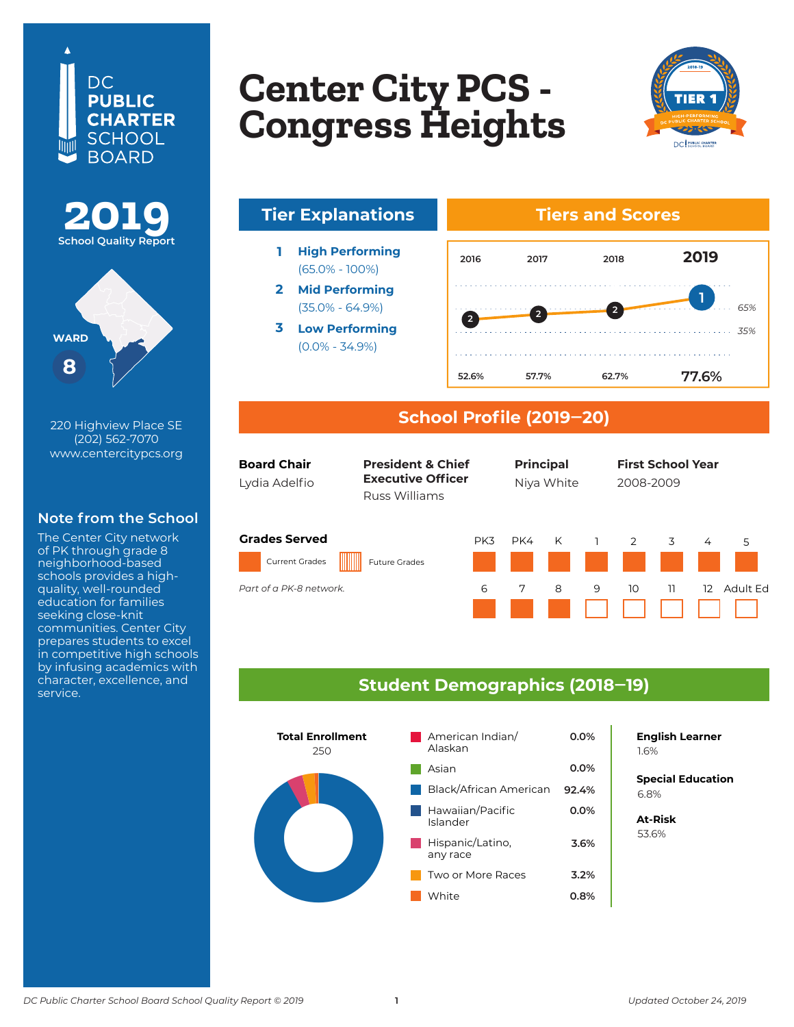





220 Highview Place SE (202) 562-7070 www.centercitypcs.org

### **Note from the School**

The Center City network of PK through grade 8 neighborhood-based schools provides a highquality, well-rounded education for families seeking close-knit communities. Center City prepares students to excel in competitive high schools by infusing academics with character, excellence, and service.

### **Copton City DCS Lenter CIty PCS<br>Congress Hoigh Columbia Heights Center City PCS - Congress Heights**



# **Tier Explanations Tiers and Scores**

- **1 High Performing** (65.0% - 100%)
- **2 Mid Performing** (35.0% - 64.9%)
- **3 Low Performing** (0.0% - 34.9%)



#### **School Profile (2019‒20)**

| <b>Board Chair</b><br>Lydia Adelfio           | <b>President &amp; Chief</b><br><b>Executive Officer</b><br>Russ Williams |     | <b>Principal</b><br>Niya White |   |   | <b>First School Year</b><br>2008-2009 |    |    |          |  |
|-----------------------------------------------|---------------------------------------------------------------------------|-----|--------------------------------|---|---|---------------------------------------|----|----|----------|--|
| <b>Grades Served</b><br><b>Current Grades</b> | <b>Future Grades</b>                                                      | PK3 | PK4                            | K |   | $\mathcal{P}$                         | 3  | 4  | 5        |  |
| Part of a PK-8 network.                       |                                                                           | 6   | 7                              | 8 | 9 | 10                                    | 11 | 12 | Adult Ed |  |

#### **Student Demographics (2018‒19)**



## **English Learner**

**Special Education** 6.2% 6.8%

**At-Risk** 37.0% 53.6%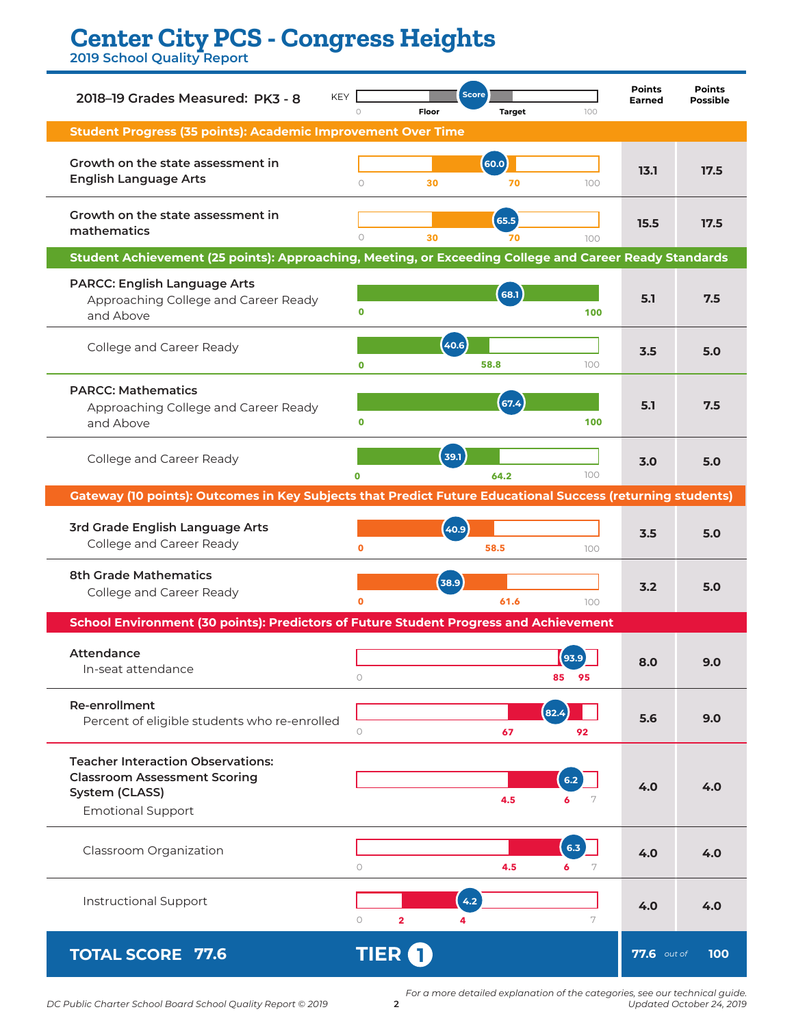# **Center City PCS - Congress Heights**

**2019 School Quality Report**

| <b>KEY</b><br>2018-19 Grades Measured: PK3 - 8                                                             |                                    | <b>Score</b> |               |               |                    | <b>Points</b><br><b>Possible</b> |  |
|------------------------------------------------------------------------------------------------------------|------------------------------------|--------------|---------------|---------------|--------------------|----------------------------------|--|
| <b>Student Progress (35 points): Academic Improvement Over Time</b>                                        | $\circ$                            | Floor        | <b>Target</b> | 100           |                    |                                  |  |
|                                                                                                            |                                    |              |               |               |                    |                                  |  |
| Growth on the state assessment in<br><b>English Language Arts</b>                                          | $\circ$                            | 30           | 60.0<br>70    | 100           | 13.1               | 17.5                             |  |
|                                                                                                            |                                    |              |               |               |                    |                                  |  |
| Growth on the state assessment in<br>mathematics                                                           |                                    |              | 65.5          |               | 15.5               | 17.5                             |  |
| Student Achievement (25 points): Approaching, Meeting, or Exceeding College and Career Ready Standards     | $\circ$                            | 30           | 70            | 100           |                    |                                  |  |
| <b>PARCC: English Language Arts</b>                                                                        |                                    |              |               |               |                    |                                  |  |
| Approaching College and Career Ready                                                                       |                                    |              | 68.1          |               | 5.1                | 7.5                              |  |
| and Above                                                                                                  | $\mathbf 0$                        |              |               | 100           |                    |                                  |  |
| College and Career Ready                                                                                   |                                    | (40.6)       |               |               | 3.5                | 5.0                              |  |
|                                                                                                            | $\mathbf 0$                        |              | 58.8          | 100           |                    |                                  |  |
| <b>PARCC: Mathematics</b>                                                                                  |                                    |              |               |               |                    |                                  |  |
| Approaching College and Career Ready<br>and Above                                                          | $\mathbf 0$                        |              | (67.4)        | 100           | 5.1                | 7.5                              |  |
|                                                                                                            |                                    |              |               |               |                    |                                  |  |
| College and Career Ready                                                                                   |                                    | 39.1         |               |               | 3.0                | 5.0                              |  |
| Gateway (10 points): Outcomes in Key Subjects that Predict Future Educational Success (returning students) | $\Omega$                           |              | 64.2          | 100           |                    |                                  |  |
|                                                                                                            |                                    |              |               |               |                    |                                  |  |
| 3rd Grade English Language Arts<br>College and Career Ready                                                |                                    | 40.9         |               |               | 3.5                | 5.0                              |  |
|                                                                                                            | Ō                                  |              | 58.5          | 100           |                    |                                  |  |
| <b>8th Grade Mathematics</b>                                                                               |                                    | 38.9         |               |               | 3.2                | 5.0                              |  |
| College and Career Ready                                                                                   | Ō                                  |              | 61.6          | 100           |                    |                                  |  |
| School Environment (30 points): Predictors of Future Student Progress and Achievement                      |                                    |              |               |               |                    |                                  |  |
| Attendance                                                                                                 |                                    |              |               | 93.9          |                    |                                  |  |
| In-seat attendance                                                                                         | $\circ$                            |              |               | 85<br>95      | 8.0                | 9.0                              |  |
| <b>Re-enrollment</b>                                                                                       |                                    |              |               |               |                    |                                  |  |
| Percent of eligible students who re-enrolled                                                               | $\circ$                            |              | 67            | 82.4<br>92    | 5.6                | 9.0                              |  |
|                                                                                                            |                                    |              |               |               |                    |                                  |  |
| <b>Teacher Interaction Observations:</b><br><b>Classroom Assessment Scoring</b>                            |                                    |              |               |               |                    |                                  |  |
| System (CLASS)                                                                                             |                                    |              | 4.5           | 6.2<br>6<br>7 | 4.0                | 4.0                              |  |
| <b>Emotional Support</b>                                                                                   |                                    |              |               |               |                    |                                  |  |
| Classroom Organization                                                                                     |                                    |              |               | 6.3           |                    |                                  |  |
|                                                                                                            | $\circ$                            |              | 4.5           | 6<br>7        | 4.0                | 4.0                              |  |
|                                                                                                            |                                    |              |               |               |                    |                                  |  |
| Instructional Support                                                                                      | $\circ$<br>$\overline{\mathbf{2}}$ | 4.2<br>4     |               | 7             | 4.0                | 4.0                              |  |
|                                                                                                            |                                    |              |               |               |                    |                                  |  |
| <b>TOTAL SCORE 77.6</b>                                                                                    | <b>TIER O</b>                      |              |               |               | <b>77.6</b> out of | 100                              |  |